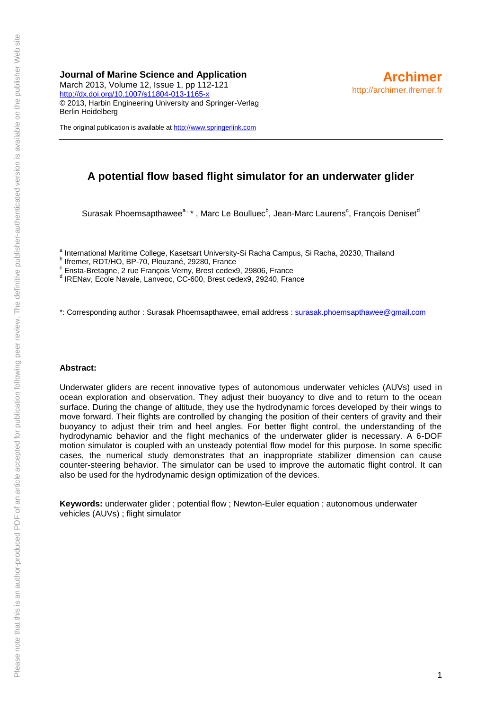# **Journal of Marine Science and Application**

March 2013, Volume 12, Issue 1, pp 112-121 <http://dx.doi.org/10.1007/s11804-013-1165-x> © 2013, Harbin Engineering University and Springer-Verlag Berlin Heidelberg

The original publication is available at [http://www.springerlink.com](http://www.springerlink.com/)

# **A potential flow based flight simulator for an underwater glider**

Surasak Phoemsapthawee<sup>a,</sup> \*, Marc Le Boulluec<sup>b</sup>, Jean-Marc Laurens<sup>c</sup>, François Deniset<sup>d</sup>

<sup>a</sup> International Maritime College, Kasetsart University-Si Racha Campus, Si Racha, 20230, Thailand

b Ifremer, RDT/HO, BP-70, Plouzané, 29280, France

<sup>c</sup> Ensta-Bretagne, 2 rue François Verny, Brest cedex9, 29806, France

d IRENav, Ecole Navale, Lanveoc, CC-600, Brest cedex9, 29240, France

\*: Corresponding author : Surasak Phoemsapthawee, email address : [surasak.phoemsapthawee@gmail.com](mailto:surasak.phoemsapthawee@gmail.com)

### **Abstract:**

Underwater gliders are recent innovative types of autonomous underwater vehicles (AUVs) used in ocean exploration and observation. They adjust their buoyancy to dive and to return to the ocean surface. During the change of altitude, they use the hydrodynamic forces developed by their wings to move forward. Their flights are controlled by changing the position of their centers of gravity and their buoyancy to adjust their trim and heel angles. For better flight control, the understanding of the hydrodynamic behavior and the flight mechanics of the underwater glider is necessary. A 6-DOF motion simulator is coupled with an unsteady potential flow model for this purpose. In some specific cases, the numerical study demonstrates that an inappropriate stabilizer dimension can cause counter-steering behavior. The simulator can be used to improve the automatic flight control. It can also be used for the hydrodynamic design optimization of the devices.

**Keywords:** underwater glider ; potential flow ; Newton-Euler equation ; autonomous underwater vehicles (AUVs) ; flight simulator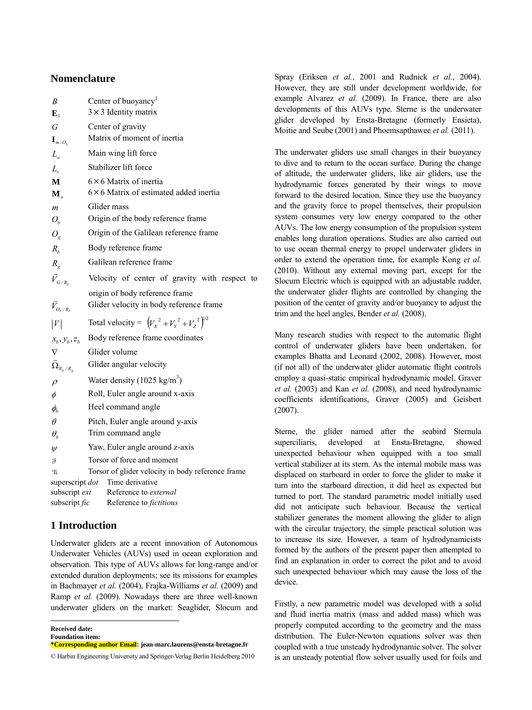## **Nomenclature**

| B                                          | Center of buoyancy <sup>1</sup>                   |  |  |
|--------------------------------------------|---------------------------------------------------|--|--|
| $\mathbf{E}_3$                             | $3 \times 3$ Identity matrix                      |  |  |
| G                                          | Center of gravity                                 |  |  |
| $\mathbf{I}_{m/O_b}$                       | Matrix of moment of inertia                       |  |  |
| $L_{w}$                                    | Main wing lift force                              |  |  |
| $L_{\rm s}$                                | Stabilizer lift force                             |  |  |
| $\mathbf{M}$                               | $6 \times 6$ Matrix of inertia                    |  |  |
| $\mathbf{M}_a$                             | $6 \times 6$ Matrix of estimated added inertia    |  |  |
| $\boldsymbol{m}$                           | Glider mass                                       |  |  |
| $O_h$                                      | Origin of the body reference frame                |  |  |
| $O_{g}$                                    | Origin of the Galilean reference frame            |  |  |
| $R_h$                                      | Body reference frame                              |  |  |
| $R_{\rm g}$                                | Galilean reference frame                          |  |  |
| $\vec{V}_{G/R_h}$                          | Velocity of center of gravity with respect to     |  |  |
|                                            | origin of body reference frame                    |  |  |
| $\vec{V}_{O_k/R_k}$                        | Glider velocity in body reference frame           |  |  |
| V                                          | Total velocity = $(V_x^2 + V_y^2 + V_z^2)^{1/2}$  |  |  |
| $\mathit{x_b}, \mathit{y_b}, \mathit{z_b}$ | Body reference frame coordinates                  |  |  |
|                                            | Glider volume                                     |  |  |
| $\vec{\Omega}_{R_b/R_g}$                   | Glider angular velocity                           |  |  |
| $\rho$                                     | Water density (1025 kg/m <sup>3</sup> )           |  |  |
| $\phi$                                     | Roll, Euler angle around x-axis                   |  |  |
| $\phi$ <sub>b</sub>                        | Heel command angle                                |  |  |
| $\theta$                                   | Pitch, Euler angle around y-axis                  |  |  |
| $\theta_{h}$                               | Trim command angle                                |  |  |
| $\psi$                                     | Yaw, Euler angle around z-axis                    |  |  |
| F                                          | Torsor of force and moment                        |  |  |
| U                                          | Torsor of glider velocity in body reference frame |  |  |
| superscript dot                            | Time derivative                                   |  |  |
| subscript ext                              | Reference to external                             |  |  |
| subscript fic                              | Reference to fictitious                           |  |  |

# **1 Introduction**

Underwater gliders are a recent innovation of Autonomous Underwater Vehicles (AUVs) used in ocean exploration and observation. This type of AUVs allows for long-range and/or extended duration deployments; see its missions for examples in Bachmayer *et al.* (2004), Frajka-Williams *et al.* (2009) and Ramp *et al.* (2009). Nowadays there are three well-known underwater gliders on the market: Seaglider, Slocum and

**. Received date:**

**\*Corresponding author Email: jean-marc.laurens@ensta-bretagne.fr**

Spray (Eriksen *et al.*, 2001 and Rudnick *et al.*, 2004). However, they are still under development worldwide, for example Alvarez *et al.* (2009). In France, there are also developments of this AUVs type. Sterne is the underwater glider developed by Ensta-Bretagne (formerly Ensieta), Moitie and Seube (2001) and Phoemsapthawee *et al.* (2011).

The underwater gliders use small changes in their buoyancy to dive and to return to the ocean surface. During the change of altitude, the underwater gliders, like air gliders, use the hydrodynamic forces generated by their wings to move forward to the desired location. Since they use the buoyancy and the gravity force to propel themselves, their propulsion system consumes very low energy compared to the other AUVs. The low energy consumption of the propulsion system enables long duration operations. Studies are also carried out to use ocean thermal energy to propel underwater gliders in order to extend the operation time, for example Kong *et al.* (2010). Without any external moving part, except for the Slocum Electric which is equipped with an adjustable rudder, the underwater glider flights are controlled by changing the position of the center of gravity and/or buoyancy to adjust the trim and the heel angles, Bender *et al.* (2008).

Many research studies with respect to the automatic flight control of underwater gliders have been undertaken, for examples Bhatta and Leonard (2002, 2008). However, most (if not all) of the underwater glider automatic flight controls employ a quasi-static empirical hydrodynamic model, Graver *et al.* (2003) and Kan *et al.* (2008), and need hydrodynamic coefficients identifications, Graver (2005) and Geisbert (2007).

Sterne, the glider named after the seabird Sternula superciliaris, developed at Ensta-Bretagne, showed unexpected behaviour when equipped with a too small vertical stabilizer at its stern. As the internal mobile mass was displaced on starboard in order to force the glider to make it turn into the starboard direction, it did heel as expected but turned to port. The standard parametric model initially used did not anticipate such behaviour. Because the vertical stabilizer generates the moment allowing the glider to align with the circular trajectory, the simple practical solution was to increase its size. However, a team of hydrodynamicists formed by the authors of the present paper then attempted to find an explanation in order to correct the pilot and to avoid such unexpected behaviour which may cause the loss of the device.

Firstly, a new parametric model was developed with a solid and fluid inertia matrix (mass and added mass) which was properly computed according to the geometry and the mass distribution. The Euler-Newton equations solver was then coupled with a true unsteady hydrodynamic solver. The solver is an unsteady potential flow solver usually used for foils and

**Foundation item:**

<sup>©</sup> Harbin Engineering University and Springer-Verlag Berlin Heidelberg 2010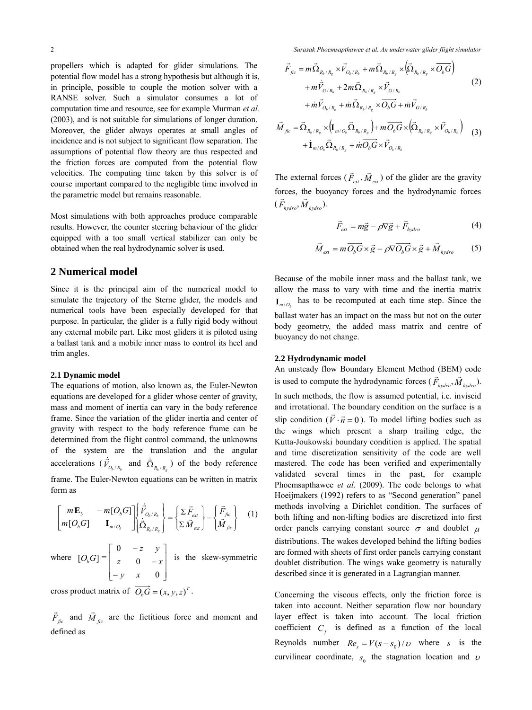propellers which is adapted for glider simulations. The potential flow model has a strong hypothesis but although it is, in principle, possible to couple the motion solver with a RANSE solver. Such a simulator consumes a lot of computation time and resource, see for example Murman *et al.* (2003), and is not suitable for simulations of longer duration. Moreover, the glider always operates at small angles of incidence and is not subject to significant flow separation. The assumptions of potential flow theory are thus respected and the friction forces are computed from the potential flow velocities. The computing time taken by this solver is of course important compared to the negligible time involved in the parametric model but remains reasonable.

Most simulations with both approaches produce comparable results. However, the counter steering behaviour of the glider equipped with a too small vertical stabilizer can only be obtained when the real hydrodynamic solver is used.

## **2 Numerical model**

Since it is the principal aim of the numerical model to simulate the trajectory of the Sterne glider, the models and numerical tools have been especially developed for that purpose. In particular, the glider is a fully rigid body without any external mobile part. Like most gliders it is piloted using a ballast tank and a mobile inner mass to control its heel and trim angles.

#### **2.1 Dynamic model**

The equations of motion, also known as, the Euler-Newton equations are developed for a glider whose center of gravity, mass and moment of inertia can vary in the body reference frame. Since the variation of the glider inertia and center of gravity with respect to the body reference frame can be determined from the flight control command, the unknowns of the system are the translation and the angular accelerations  $(\vec{V}_{O_b/R_b} \text{ and } \vec{\Omega}_{R_b/R_g})$  of the body reference frame. The Euler-Newton equations can be written in matrix form as

$$
\begin{bmatrix} m\mathbf{E}_3 & -m[O_b G] \\ m[O_b G] & \mathbf{I}_{m/O_b} \end{bmatrix} \begin{bmatrix} \dot{\vec{V}}_{O_b/R_b} \\ \dot{\vec{\Omega}}_{R_b/R_g} \end{bmatrix} = \begin{Bmatrix} \Sigma \vec{F}_{ext} \\ \Sigma \vec{M}_{ext} \end{Bmatrix} - \begin{Bmatrix} \vec{F}_{fcc} \\ \vec{M}_{fcc} \end{Bmatrix} \tag{1}
$$

where  $[O_b G]$  =  $\mathbf{I}$  $\overline{\mathbf{I}}$  $\overline{\mathbf{I}}$ ┘  $\overline{\mathbf{I}}$ Ŀ  $\mathbf{I}$  $\mathbf{I}$ L L  $\overline{a}$  $\overline{a}$  $\overline{a}$ 0 0 0 *xy z x yz* is the skew-symmetric

cross product matrix of  $\overline{O_b G} = (x, y, z)^T$ .

*Ffic*  $\vec{F}_{\text{fic}}$  and  $\vec{M}_{\text{fic}}$  $\vec{A}_{\text{eq}}$  are the fictitious force and moment and defined as

2 *Surasak Phoemsapthawee et al. An underwater glider flight simulator* 

$$
\vec{F}_{\hat{j}c} = m\vec{\Omega}_{R_b/R_g} \times \vec{V}_{O_b/R_b} + m\vec{\Omega}_{R_b/R_g} \times (\vec{\Omega}_{R_b/R_g} \times \overline{O_b G})
$$
\n
$$
+ m\vec{V}_{G/R_b} + 2m\vec{\Omega}_{R_b/R_g} \times \vec{V}_{G/R_b}
$$
\n
$$
+ m\vec{V}_{O_b/R_b} + m\vec{\Omega}_{R_b/R_g} \times \overline{O_b G} + m\vec{V}_{G/R_b}
$$
\n
$$
\vec{M}_{\hat{j}c} = \vec{\Omega}_{R_b/R_g} \times (\mathbf{I}_{m/O_b}\vec{\Omega}_{R_b/R_g}) + m\vec{O_b G} \times (\vec{\Omega}_{R_b/R_g} \times \vec{V}_{O_b/R_b})
$$
\n(3)

$$
M_{\hat{f}c} = \Omega_{R_b/R_g} \times (\mathbf{I}_{m/O_b} \Omega_{R_b/R_g}) + mO_b G \times (\Omega_{R_b/R_g} \times V_{O_b/R_b})
$$
  
+  $\dot{\mathbf{I}}_{m/O_b} \overrightarrow{\Omega}_{R_b/R_g} + m \overrightarrow{O_b G} \times \overrightarrow{V}_{O_b/R_b}$  (3)

The external forces ( *Fext*  $(\vec{F}_{ext}, \vec{M}_{ext})$  of the glider are the gravity forces, the buoyancy forces and the hydrodynamic forces  $(\vec{F}_{\text{hydro}}, \vec{M}_{\text{hydro}})$ .

$$
\vec{F}_{ext} = m\vec{g} - \rho \nabla \vec{g} + \vec{F}_{hydro}
$$
 (4)

$$
\vec{M}_{ext} = m \overrightarrow{O_b G} \times \vec{g} - \rho \nabla \overrightarrow{O_b G} \times \vec{g} + \vec{M}_{hydro}
$$
 (5)

Because of the mobile inner mass and the ballast tank, we allow the mass to vary with time and the inertia matrix  $\mathbf{I}_{m/O_b}$  has to be recomputed at each time step. Since the ballast water has an impact on the mass but not on the outer body geometry, the added mass matrix and centre of buoyancy do not change.

#### **2.2 Hydrodynamic model**

An unsteady flow Boundary Element Method (BEM) code is used to compute the hydrodynamic forces ( *Fhydro*  $\vec{F}_{hydro}$ ,  $\vec{M}_{hydro}$ ). In such methods, the flow is assumed potential, i.e. inviscid and irrotational. The boundary condition on the surface is a slip condition ( $\vec{V} \cdot \vec{n} = 0$ ). To model lifting bodies such as the wings which present a sharp trailing edge, the Kutta-Joukowski boundary condition is applied. The spatial and time discretization sensitivity of the code are well mastered. The code has been verified and experimentally validated several times in the past, for example Phoemsapthawee *et al.* (2009). The code belongs to what Hoeijmakers (1992) refers to as "Second generation" panel methods involving a Dirichlet condition. The surfaces of both lifting and non-lifting bodies are discretized into first order panels carrying constant source  $\sigma$  and doublet  $\mu$ distributions. The wakes developed behind the lifting bodies are formed with sheets of first order panels carrying constant doublet distribution. The wings wake geometry is naturally described since it is generated in a Lagrangian manner.

Concerning the viscous effects, only the friction force is taken into account. Neither separation flow nor boundary layer effect is taken into account. The local friction coefficient  $C_f$  is defined as a function of the local Reynolds number  $Re<sub>s</sub> = V(s - s<sub>0</sub>)/v$  where *s* is the curvilinear coordinate,  $s_0$  the stagnation location and  $\nu$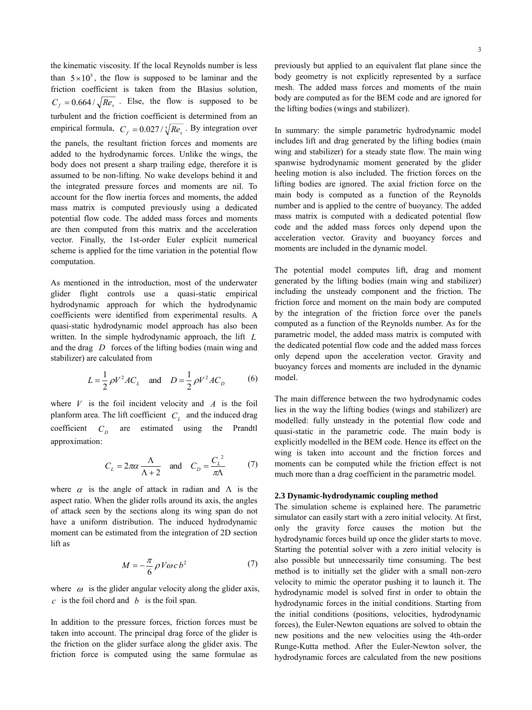the kinematic viscosity. If the local Reynolds number is less than  $5 \times 10^5$ , the flow is supposed to be laminar and the friction coefficient is taken from the Blasius solution,  $C_f = 0.664 / \sqrt{Re_s}$ . Else, the flow is supposed to be turbulent and the friction coefficient is determined from an empirical formula,  $C_f = 0.027 / \sqrt[3]{Re_s}$ . By integration over the panels, the resultant friction forces and moments are added to the hydrodynamic forces. Unlike the wings, the body does not present a sharp trailing edge, therefore it is assumed to be non-lifting. No wake develops behind it and the integrated pressure forces and moments are nil. To account for the flow inertia forces and moments, the added mass matrix is computed previously using a dedicated potential flow code. The added mass forces and moments are then computed from this matrix and the acceleration vector. Finally, the 1st-order Euler explicit numerical scheme is applied for the time variation in the potential flow computation.

As mentioned in the introduction, most of the underwater glider flight controls use a quasi-static empirical hydrodynamic approach for which the hydrodynamic coefficients were identified from experimental results. A quasi-static hydrodynamic model approach has also been written. In the simple hydrodynamic approach, the lift *L* and the drag *D* forces of the lifting bodies (main wing and stabilizer) are calculated from

$$
L = \frac{1}{2} \rho V^2 A C_L \text{ and } D = \frac{1}{2} \rho V^2 A C_D \qquad (6)
$$

where  $V$  is the foil incident velocity and  $A$  is the foil planform area. The lift coefficient  $C_L$  and the induced drag coefficient  $C_D$  are estimated using the Prandtl approximation:

$$
C_L = 2\pi\alpha \frac{\Lambda}{\Lambda + 2} \quad \text{and} \quad C_D = \frac{C_L^2}{\pi\Lambda} \tag{7}
$$

where  $\alpha$  is the angle of attack in radian and  $\Lambda$  is the aspect ratio. When the glider rolls around its axis, the angles of attack seen by the sections along its wing span do not have a uniform distribution. The induced hydrodynamic moment can be estimated from the integration of 2D section lift as

$$
M = -\frac{\pi}{6} \rho V \omega c b^2 \tag{7}
$$

where  $\omega$  is the glider angular velocity along the glider axis,  $c$  is the foil chord and  $b$  is the foil span.

In addition to the pressure forces, friction forces must be taken into account. The principal drag force of the glider is the friction on the glider surface along the glider axis. The friction force is computed using the same formulae as

previously but applied to an equivalent flat plane since the body geometry is not explicitly represented by a surface mesh. The added mass forces and moments of the main body are computed as for the BEM code and are ignored for the lifting bodies (wings and stabilizer).

In summary: the simple parametric hydrodynamic model includes lift and drag generated by the lifting bodies (main wing and stabilizer) for a steady state flow. The main wing spanwise hydrodynamic moment generated by the glider heeling motion is also included. The friction forces on the lifting bodies are ignored. The axial friction force on the main body is computed as a function of the Reynolds number and is applied to the centre of buoyancy. The added mass matrix is computed with a dedicated potential flow code and the added mass forces only depend upon the acceleration vector. Gravity and buoyancy forces and moments are included in the dynamic model.

The potential model computes lift, drag and moment generated by the lifting bodies (main wing and stabilizer) including the unsteady component and the friction. The friction force and moment on the main body are computed by the integration of the friction force over the panels computed as a function of the Reynolds number. As for the parametric model, the added mass matrix is computed with the dedicated potential flow code and the added mass forces only depend upon the acceleration vector. Gravity and buoyancy forces and moments are included in the dynamic model.

The main difference between the two hydrodynamic codes lies in the way the lifting bodies (wings and stabilizer) are modelled: fully unsteady in the potential flow code and quasi-static in the parametric code. The main body is explicitly modelled in the BEM code. Hence its effect on the wing is taken into account and the friction forces and moments can be computed while the friction effect is not much more than a drag coefficient in the parametric model.

#### **2.3 Dynamic-hydrodynamic coupling method**

The simulation scheme is explained here. The parametric simulator can easily start with a zero initial velocity. At first, only the gravity force causes the motion but the hydrodynamic forces build up once the glider starts to move. Starting the potential solver with a zero initial velocity is also possible but unnecessarily time consuming. The best method is to initially set the glider with a small non-zero velocity to mimic the operator pushing it to launch it. The hydrodynamic model is solved first in order to obtain the hydrodynamic forces in the initial conditions. Starting from the initial conditions (positions, velocities, hydrodynamic forces), the Euler-Newton equations are solved to obtain the new positions and the new velocities using the 4th-order Runge-Kutta method. After the Euler-Newton solver, the hydrodynamic forces are calculated from the new positions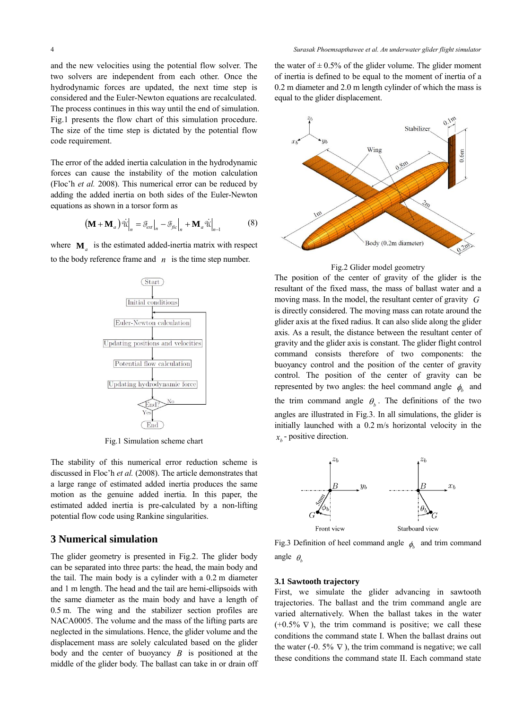and the new velocities using the potential flow solver. The two solvers are independent from each other. Once the hydrodynamic forces are updated, the next time step is considered and the Euler-Newton equations are recalculated. The process continues in this way until the end of simulation. Fig.1 presents the flow chart of this simulation procedure. The size of the time step is dictated by the potential flow code requirement.

The error of the added inertia calculation in the hydrodynamic forces can cause the instability of the motion calculation (Floc'h *et al.* 2008). This numerical error can be reduced by adding the added inertia on both sides of the Euler-Newton

equations as shown in a torsor form as  
\n
$$
(\mathbf{M} + \mathbf{M}_a) \dot{\mathcal{U}}\Big|_n = \mathcal{F}_{\text{ext}}\Big|_n - \mathcal{F}_{\text{fic}}\Big|_n + \mathbf{M}_a \dot{\mathcal{U}}\Big|_{n-1}
$$
\n(8)

where  $\mathbf{M}_a$  is the estimated added-inertia matrix with respect to the body reference frame and  $n$  is the time step number.



Fig.1 Simulation scheme chart

The stability of this numerical error reduction scheme is discussed in Floc'h *et al.* (2008). The article demonstrates that a large range of estimated added inertia produces the same motion as the genuine added inertia. In this paper, the estimated added inertia is pre-calculated by a non-lifting potential flow code using Rankine singularities.

# **3 Numerical simulation**

The glider geometry is presented in Fig.2. The glider body can be separated into three parts: the head, the main body and the tail. The main body is a cylinder with a 0.2 m diameter and 1 m length. The head and the tail are hemi-ellipsoids with the same diameter as the main body and have a length of 0.5 m. The wing and the stabilizer section profiles are NACA0005. The volume and the mass of the lifting parts are neglected in the simulations. Hence, the glider volume and the displacement mass are solely calculated based on the glider body and the center of buoyancy *B* is positioned at the middle of the glider body. The ballast can take in or drain off

the water of  $\pm$  0.5% of the glider volume. The glider moment of inertia is defined to be equal to the moment of inertia of a 0.2 m diameter and 2.0 m length cylinder of which the mass is equal to the glider displacement.



Fig.2 Glider model geometry

The position of the center of gravity of the glider is the resultant of the fixed mass, the mass of ballast water and a moving mass. In the model, the resultant center of gravity *G* is directly considered. The moving mass can rotate around the glider axis at the fixed radius. It can also slide along the glider axis. As a result, the distance between the resultant center of gravity and the glider axis is constant. The glider flight control command consists therefore of two components: the buoyancy control and the position of the center of gravity control. The position of the center of gravity can be represented by two angles: the heel command angle  $\phi$ <sub>b</sub> and the trim command angle  $\theta$ <sub>b</sub>. The definitions of the two angles are illustrated in Fig.3. In all simulations, the glider is initially launched with a 0.2 m/s horizontal velocity in the  $x<sub>b</sub>$  - positive direction.



Fig.3 Definition of heel command angle  $\phi$ <sub>b</sub> and trim command angle  $\theta_b$ 

#### **3.1 Sawtooth trajectory**

First, we simulate the glider advancing in sawtooth trajectories. The ballast and the trim command angle are varied alternatively. When the ballast takes in the water  $(+0.5\% \nabla)$ , the trim command is positive; we call these conditions the command state I. When the ballast drains out the water (-0. 5%  $\nabla$ ), the trim command is negative; we call these conditions the command state II. Each command state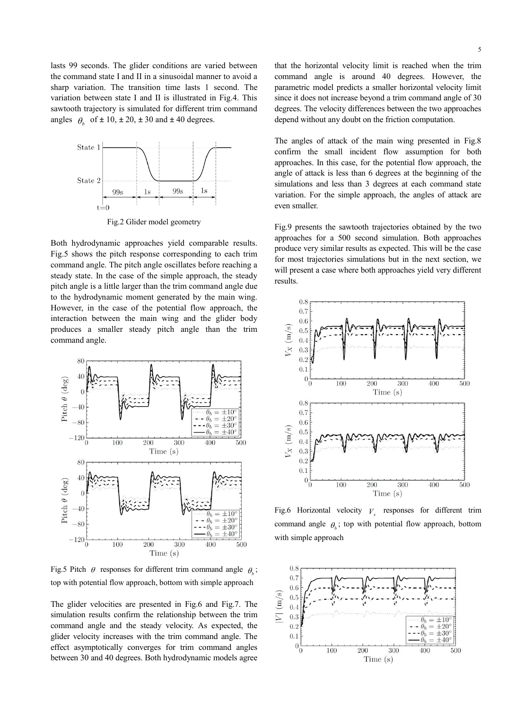lasts 99 seconds. The glider conditions are varied between the command state I and II in a sinusoidal manner to avoid a sharp variation. The transition time lasts 1 second. The variation between state I and II is illustrated in Fig.4. This sawtooth trajectory is simulated for different trim command angles  $\theta_b$  of  $\pm 10$ ,  $\pm 20$ ,  $\pm 30$  and  $\pm 40$  degrees.



Fig.2 Glider model geometry

Both hydrodynamic approaches yield comparable results. Fig.5 shows the pitch response corresponding to each trim command angle. The pitch angle oscillates before reaching a steady state. In the case of the simple approach, the steady pitch angle is a little larger than the trim command angle due to the hydrodynamic moment generated by the main wing. However, in the case of the potential flow approach, the interaction between the main wing and the glider body produces a smaller steady pitch angle than the trim command angle.



Fig.5 Pitch  $\theta$  responses for different trim command angle  $\theta$ <sub>i</sub>; top with potential flow approach, bottom with simple approach

The glider velocities are presented in Fig.6 and Fig.7. The simulation results confirm the relationship between the trim command angle and the steady velocity. As expected, the glider velocity increases with the trim command angle. The effect asymptotically converges for trim command angles between 30 and 40 degrees. Both hydrodynamic models agree

that the horizontal velocity limit is reached when the trim command angle is around 40 degrees. However, the parametric model predicts a smaller horizontal velocity limit since it does not increase beyond a trim command angle of 30 degrees. The velocity differences between the two approaches

The angles of attack of the main wing presented in Fig.8 confirm the small incident flow assumption for both approaches. In this case, for the potential flow approach, the angle of attack is less than 6 degrees at the beginning of the simulations and less than 3 degrees at each command state variation. For the simple approach, the angles of attack are even smaller.

depend without any doubt on the friction computation.

Fig.9 presents the sawtooth trajectories obtained by the two approaches for a 500 second simulation. Both approaches produce very similar results as expected. This will be the case for most trajectories simulations but in the next section, we will present a case where both approaches yield very different results.



Fig.6 Horizontal velocity  $V_x$  responses for different trim command angle  $\theta$ <sub>b</sub>; top with potential flow approach, bottom with simple approach

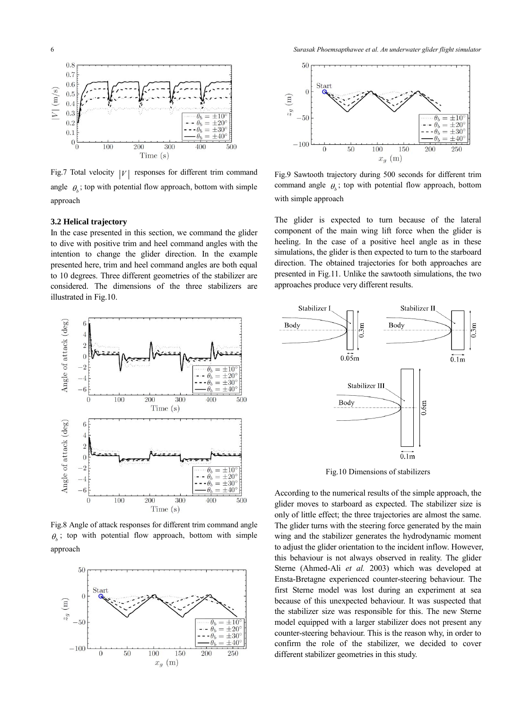

Fig.7 Total velocity  $|V|$  responses for different trim command angle  $\theta$ <sub>b</sub>; top with potential flow approach, bottom with simple approach

### **3.2 Helical trajectory**

In the case presented in this section, we command the glider to dive with positive trim and heel command angles with the intention to change the glider direction. In the example presented here, trim and heel command angles are both equal to 10 degrees. Three different geometries of the stabilizer are considered. The dimensions of the three stabilizers are illustrated in Fig.10.



Fig.8 Angle of attack responses for different trim command angle  $\theta$ <sub>b</sub>; top with potential flow approach, bottom with simple approach





Fig.9 Sawtooth trajectory during 500 seconds for different trim command angle  $\theta$ <sub>b</sub>; top with potential flow approach, bottom with simple approach

The glider is expected to turn because of the lateral component of the main wing lift force when the glider is heeling. In the case of a positive heel angle as in these simulations, the glider is then expected to turn to the starboard direction. The obtained trajectories for both approaches are presented in Fig.11. Unlike the sawtooth simulations, the two approaches produce very different results.



Fig.10 Dimensions of stabilizers

According to the numerical results of the simple approach, the glider moves to starboard as expected. The stabilizer size is only of little effect; the three trajectories are almost the same. The glider turns with the steering force generated by the main wing and the stabilizer generates the hydrodynamic moment to adjust the glider orientation to the incident inflow. However, this behaviour is not always observed in reality. The glider Sterne (Ahmed-Ali *et al.* 2003) which was developed at Ensta-Bretagne experienced counter-steering behaviour. The first Sterne model was lost during an experiment at sea because of this unexpected behaviour. It was suspected that the stabilizer size was responsible for this. The new Sterne model equipped with a larger stabilizer does not present any counter-steering behaviour. This is the reason why, in order to confirm the role of the stabilizer, we decided to cover different stabilizer geometries in this study.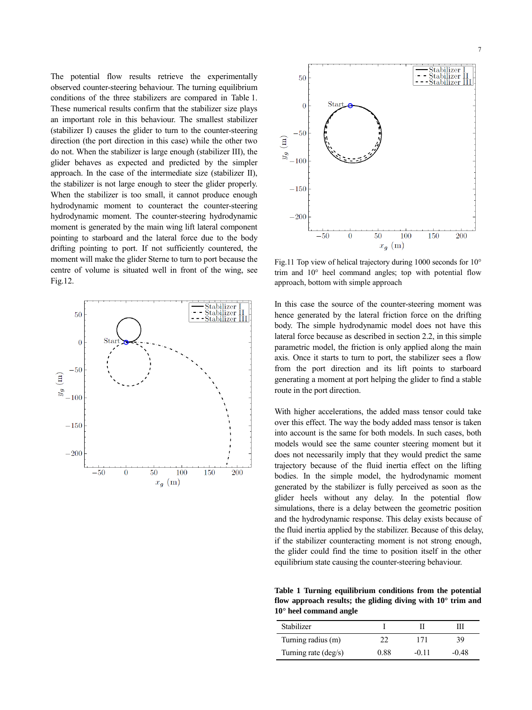The potential flow results retrieve the experimentally observed counter-steering behaviour. The turning equilibrium conditions of the three stabilizers are compared in Table 1. These numerical results confirm that the stabilizer size plays an important role in this behaviour. The smallest stabilizer (stabilizer I) causes the glider to turn to the counter-steering direction (the port direction in this case) while the other two do not. When the stabilizer is large enough (stabilizer III), the glider behaves as expected and predicted by the simpler approach. In the case of the intermediate size (stabilizer II), the stabilizer is not large enough to steer the glider properly. When the stabilizer is too small, it cannot produce enough hydrodynamic moment to counteract the counter-steering hydrodynamic moment. The counter-steering hydrodynamic moment is generated by the main wing lift lateral component pointing to starboard and the lateral force due to the body drifting pointing to port. If not sufficiently countered, the moment will make the glider Sterne to turn to port because the centre of volume is situated well in front of the wing, see Fig.12.





Fig.11 Top view of helical trajectory during 1000 seconds for 10° trim and 10° heel command angles; top with potential flow approach, bottom with simple approach

In this case the source of the counter-steering moment was hence generated by the lateral friction force on the drifting body. The simple hydrodynamic model does not have this lateral force because as described in section 2.2, in this simple parametric model, the friction is only applied along the main axis. Once it starts to turn to port, the stabilizer sees a flow from the port direction and its lift points to starboard generating a moment at port helping the glider to find a stable route in the port direction.

With higher accelerations, the added mass tensor could take over this effect. The way the body added mass tensor is taken into account is the same for both models. In such cases, both models would see the same counter steering moment but it does not necessarily imply that they would predict the same trajectory because of the fluid inertia effect on the lifting bodies. In the simple model, the hydrodynamic moment generated by the stabilizer is fully perceived as soon as the glider heels without any delay. In the potential flow simulations, there is a delay between the geometric position and the hydrodynamic response. This delay exists because of the fluid inertia applied by the stabilizer. Because of this delay, if the stabilizer counteracting moment is not strong enough, the glider could find the time to position itself in the other equilibrium state causing the counter-steering behaviour.

**Table 1 Turning equilibrium conditions from the potential flow approach results; the gliding diving with 10° trim and 10° heel command angle**

| . .                  |      |         |         |
|----------------------|------|---------|---------|
| Stabilizer           |      |         |         |
| Turning radius (m)   |      | 171     | 39      |
| Turning rate (deg/s) | 0.88 | $-0.11$ | $-0.48$ |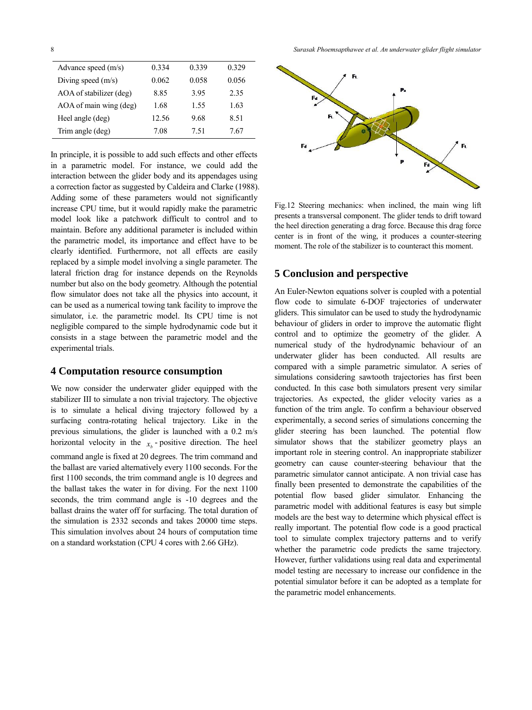| Advance speed $(m/s)$   | 0.334 | 0.339 | 0.329 |
|-------------------------|-------|-------|-------|
| Diving speed $(m/s)$    | 0.062 | 0.058 | 0.056 |
| AOA of stabilizer (deg) | 8.85  | 395   | 2.35  |
| AOA of main wing (deg)  | 1.68  | 1.55  | 1.63  |
| Heel angle (deg)        | 12.56 | 9.68  | 8.51  |
| Trim angle (deg)        | 7 08  | 7.51  | 7.67  |

In principle, it is possible to add such effects and other effects in a parametric model. For instance, we could add the interaction between the glider body and its appendages using a correction factor as suggested by Caldeira and Clarke (1988). Adding some of these parameters would not significantly increase CPU time, but it would rapidly make the parametric model look like a patchwork difficult to control and to maintain. Before any additional parameter is included within the parametric model, its importance and effect have to be clearly identified. Furthermore, not all effects are easily replaced by a simple model involving a single parameter. The lateral friction drag for instance depends on the Reynolds number but also on the body geometry. Although the potential flow simulator does not take all the physics into account, it can be used as a numerical towing tank facility to improve the simulator, i.e. the parametric model. Its CPU time is not negligible compared to the simple hydrodynamic code but it consists in a stage between the parametric model and the experimental trials.

### **4 Computation resource consumption**

We now consider the underwater glider equipped with the stabilizer III to simulate a non trivial trajectory. The objective is to simulate a helical diving trajectory followed by a surfacing contra-rotating helical trajectory. Like in the previous simulations, the glider is launched with a 0.2 m/s horizontal velocity in the  $x<sub>b</sub>$  - positive direction. The heel command angle is fixed at 20 degrees. The trim command and the ballast are varied alternatively every 1100 seconds. For the first 1100 seconds, the trim command angle is 10 degrees and the ballast takes the water in for diving. For the next 1100 seconds, the trim command angle is -10 degrees and the ballast drains the water off for surfacing. The total duration of the simulation is 2332 seconds and takes 20000 time steps. This simulation involves about 24 hours of computation time on a standard workstation (CPU 4 cores with 2.66 GHz).



Fig.12 Steering mechanics: when inclined, the main wing lift presents a transversal component. The glider tends to drift toward the heel direction generating a drag force. Because this drag force center is in front of the wing, it produces a counter-steering moment. The role of the stabilizer is to counteract this moment.

### **5 Conclusion and perspective**

An Euler-Newton equations solver is coupled with a potential flow code to simulate 6-DOF trajectories of underwater gliders. This simulator can be used to study the hydrodynamic behaviour of gliders in order to improve the automatic flight control and to optimize the geometry of the glider. A numerical study of the hydrodynamic behaviour of an underwater glider has been conducted. All results are compared with a simple parametric simulator. A series of simulations considering sawtooth trajectories has first been conducted. In this case both simulators present very similar trajectories. As expected, the glider velocity varies as a function of the trim angle. To confirm a behaviour observed experimentally, a second series of simulations concerning the glider steering has been launched. The potential flow simulator shows that the stabilizer geometry plays an important role in steering control. An inappropriate stabilizer geometry can cause counter-steering behaviour that the parametric simulator cannot anticipate. A non trivial case has finally been presented to demonstrate the capabilities of the potential flow based glider simulator. Enhancing the parametric model with additional features is easy but simple models are the best way to determine which physical effect is really important. The potential flow code is a good practical tool to simulate complex trajectory patterns and to verify whether the parametric code predicts the same trajectory. However, further validations using real data and experimental model testing are necessary to increase our confidence in the potential simulator before it can be adopted as a template for the parametric model enhancements.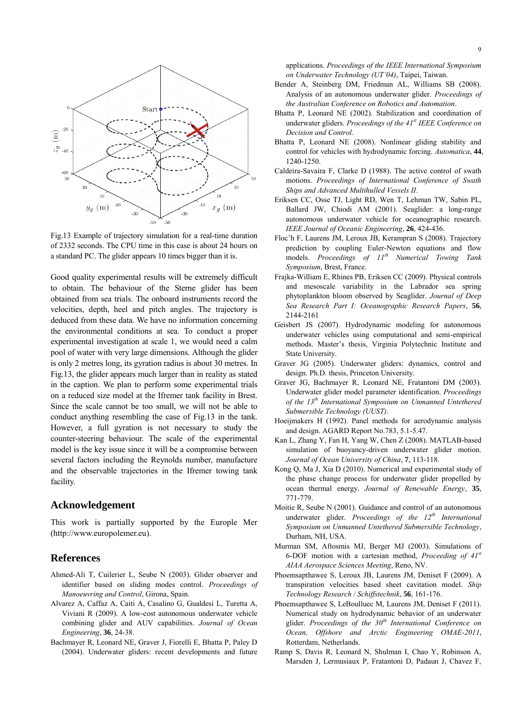

Fig.13 Example of trajectory simulation for a real-time duration of 2332 seconds. The CPU time in this case is about 24 hours on a standard PC. The glider appears 10 times bigger than it is.

Good quality experimental results will be extremely difficult to obtain. The behaviour of the Sterne glider has been obtained from sea trials. The onboard instruments record the velocities, depth, heel and pitch angles. The trajectory is deduced from these data. We have no information concerning the environmental conditions at sea. To conduct a proper experimental investigation at scale 1, we would need a calm pool of water with very large dimensions. Although the glider is only 2 metres long, its gyration radius is about 30 metres. In Fig.13, the glider appears much larger than in reality as stated in the caption. We plan to perform some experimental trials on a reduced size model at the Ifremer tank facility in Brest. Since the scale cannot be too small, we will not be able to conduct anything resembling the case of Fig.13 in the tank. However, a full gyration is not necessary to study the counter-steering behaviour. The scale of the experimental model is the key issue since it will be a compromise between several factors including the Reynolds number, manufacture and the observable trajectories in the Ifremer towing tank facility.

# **Acknowledgement**

This work is partially supported by the Europle Mer (http://www.europolemer.eu).

# **References**

- Ahmed-Ali T, Cuilerier L, Seube N (2003). Glider observer and identifier based on sliding modes control. *Proceedings of Manoeuvring and Control*, Girona, Spain.
- Alvarez A, Caffaz A, Caiti A, Casalino G, Gualdesi L, Turetta A, Viviani R (2009). A low-cost autonomous underwater vehicle combining glider and AUV capabilities. *Journal of Ocean Engineering*, **36**, 24-38.
- Bachmayer R, Leonard NE, Graver J, Fiorelli E, Bhatta P, Paley D (2004). Underwater gliders: recent developments and future

applications. *Proceedings of the IEEE International Symposium on Underwater Technology (UT'04)*, Taipei, Taiwan.

- Bender A, Steinberg DM, Friedman AL, Williams SB (2008). Analysis of an autonomous underwater glider. *Proceedings of the Australian Conference on Robotics and Automation*.
- Bhatta P, Leonard NE (2002). Stabilization and coordination of underwater gliders. *Proceedings of the 41st IEEE Conference on Decision and Control*.
- Bhatta P, Leonard NE (2008). Nonlinear gliding stability and control for vehicles with hydrodynamic forcing. *Automatica*, **44**, 1240-1250.
- Caldeira-Savaira F, Clarke D (1988). The active control of swath motions. *Proceedings of International Conference of Swath Ships and Advanced Multihulled Vessels II*.
- Eriksen CC, Osse TJ, Light RD, Wen T, Lehman TW, Sabin PL, Ballard JW, Chiodi AM (2001). Seaglider: a long-range autonomous underwater vehicle for oceanographic research. *IEEE Journal of Oceanic Engineering*, **26**, 424-436.
- Floc'h F, Laurens JM, Leroux JB, Kerampran S (2008). Trajectory prediction by coupling Euler-Newton equations and flow models. *Proceedings of 11th Numerical Towing Tank Symposium*, Brest, France.
- Frajka-William E, Rhines PB, Eriksen CC (2009). Physical controls and mesoscale variability in the Labrador sea spring phytoplankton bloom observed by Seaglider. *Journal of Deep Sea Research Part I: Oceanographic Research Papers*, **56**, 2144-2161
- Geisbert JS (2007). Hydrodynamic modeling for autonomous underwater vehicles using computational and semi-empirical methods. Master's thesis, Virginia Polytechnic Institute and State University.
- Graver JG (2005). Underwater gliders: dynamics, control and design. Ph.D. thesis, Princeton University.
- Graver JG, Bachmayer R, Leonard NE, Fratantoni DM (2003). Underwater glider model parameter identification. *Proceedings of the 13th International Symposium on Unmanned Untethered Submersible Technology (UUST)*.
- Hoeijmakers H (1992). Panel methods for aerodynamic analysis and design. AGARD Report No.783, 5.1-5.47.
- Kan L, Zhang Y, Fan H, Yang W, Chen Z (2008). MATLAB-based simulation of buoyancy-driven underwater glider motion. *Journal of Ocean University of China*, **7**, 113-118.
- Kong Q, Ma J, Xia D (2010). Numerical and experimental study of the phase change process for underwater glider propelled by ocean thermal energy. *Journal of Renewable Energy*, **35**, 771-779.
- Moitie R, Seube N (2001). Guidance and control of an autonomous underwater glider. *Proceedings of the 12th International Symposium on Unmanned Untethered Submersible Technology*, Durham, NH, USA.
- Murman SM, Aftosmis MJ, Berger MJ (2003). Simulations of 6-DOF motion with a cartesian method, *Proceeding of 41st AIAA Aerospace Sciences Meeting*, Reno, NV.
- Phoemsapthawee S, Leroux JB, Laurens JM, Deniset F (2009). A transpiration velocities based sheet cavitation model. *Ship Technology Research / Schiffstechnik*, **56**, 161-176.
- Phoemsapthawee S, LeBoulluec M, Laurens JM, Deniset F (2011). Numerical study on hydrodynamic behavior of an underwater glider. *Proceedings of the 30th International Conference on Ocean, Offshore and Arctic Engineering OMAE-2011*, Rotterdam, Netherlands.
- Ramp S, Davis R, Leonard N, Shulman I, Chao Y, Robinson A, Marsden J, Lermusiaux P, Fratantoni D, Padaun J, Chavez F,